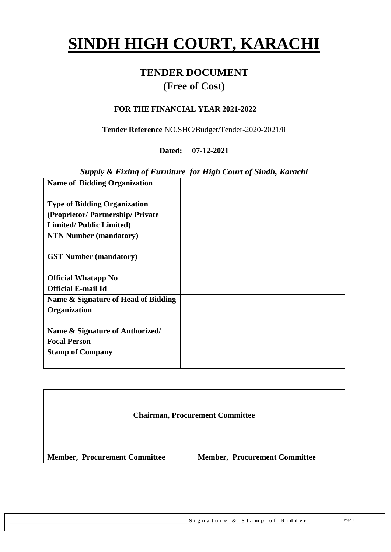# **SINDH HIGH COURT, KARACHI**

# **TENDER DOCUMENT (Free of Cost)**

#### **FOR THE FINANCIAL YEAR 2021-2022**

**Tender Reference** NO.SHC/Budget/Tender-2020-2021/ii

**Dated: 07-12-2021**

#### *Supply & Fixing of Furniture for High Court of Sindh, Karachi*

| <b>Name of Bidding Organization</b> |  |
|-------------------------------------|--|
|                                     |  |
| <b>Type of Bidding Organization</b> |  |
| (Proprietor/Partnership/Private     |  |
| <b>Limited/Public Limited)</b>      |  |
| <b>NTN Number (mandatory)</b>       |  |
|                                     |  |
| <b>GST Number (mandatory)</b>       |  |
|                                     |  |
| <b>Official Whatapp No</b>          |  |
| <b>Official E-mail Id</b>           |  |
| Name & Signature of Head of Bidding |  |
| Organization                        |  |
|                                     |  |
| Name & Signature of Authorized/     |  |
| <b>Focal Person</b>                 |  |
| <b>Stamp of Company</b>             |  |
|                                     |  |

|                                      | <b>Chairman, Procurement Committee</b> |
|--------------------------------------|----------------------------------------|
|                                      |                                        |
| <b>Member, Procurement Committee</b> | <b>Member, Procurement Committee</b>   |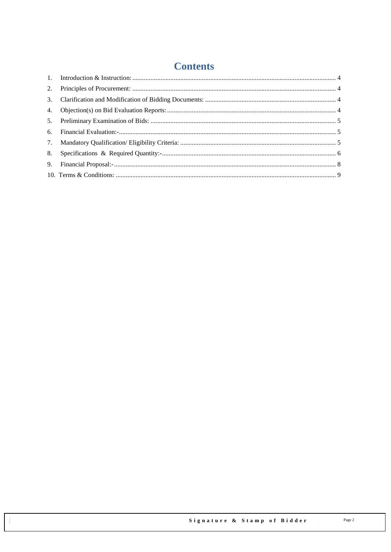# **Contents**

| 5. |  |
|----|--|
|    |  |
| 7. |  |
|    |  |
|    |  |
|    |  |
|    |  |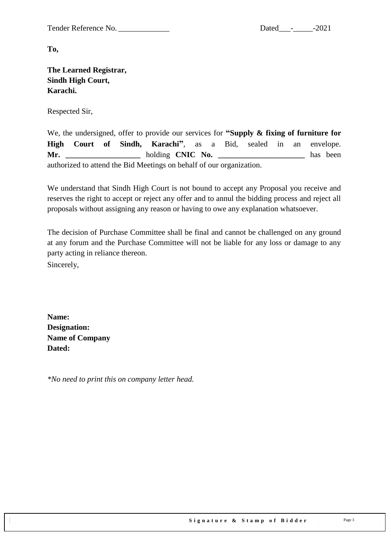Tender Reference No. \_\_\_\_\_\_\_\_\_\_\_\_\_ Dated\_\_\_-\_\_\_\_\_-2021

**To,** 

**The Learned Registrar, Sindh High Court, Karachi.**

Respected Sir,

We, the undersigned, offer to provide our services for **"Supply & fixing of furniture for High Court of Sindh, Karachi"**, as a Bid, sealed in an envelope. **Mr.** holding **CNIC No.** has been authorized to attend the Bid Meetings on behalf of our organization.

We understand that Sindh High Court is not bound to accept any Proposal you receive and reserves the right to accept or reject any offer and to annul the bidding process and reject all proposals without assigning any reason or having to owe any explanation whatsoever.

The decision of Purchase Committee shall be final and cannot be challenged on any ground at any forum and the Purchase Committee will not be liable for any loss or damage to any party acting in reliance thereon. Sincerely,

**Name: Designation: Name of Company Dated:**

*\*No need to print this on company letter head.*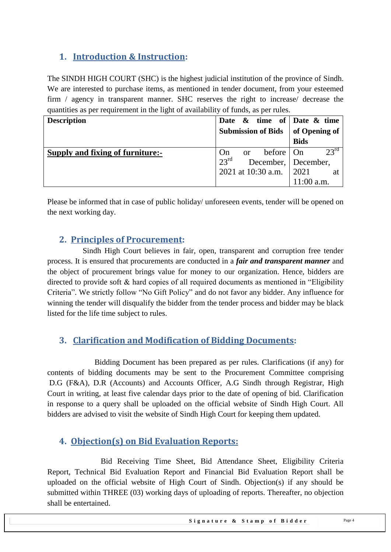#### <span id="page-3-0"></span>**1. Introduction & Instruction:**

The SINDH HIGH COURT (SHC) is the highest judicial institution of the province of [Sindh.](https://en.wikipedia.org/wiki/Sindh) We are interested to purchase items, as mentioned in tender document, from your esteemed firm / agency in transparent manner. SHC reserves the right to increase/ decrease the quantities as per requirement in the light of availability of funds, as per rules.

| <b>Description</b>               |               | Date $\&$ time of Date $\&$ time |               |               |
|----------------------------------|---------------|----------------------------------|---------------|---------------|
|                                  |               | <b>Submission of Bids</b>        | of Opening of |               |
|                                  |               |                                  | <b>Bids</b>   |               |
| Supply and fixing of furniture:- | On            | or before $ On$                  |               | $23^{\rm rd}$ |
|                                  | $23^{\rm rd}$ | December, December,              |               |               |
|                                  |               | 2021 at 10:30 a.m. 2021          |               | at            |
|                                  |               |                                  | $11:00$ a.m.  |               |

<span id="page-3-1"></span>Please be informed that in case of public holiday/ unforeseen events, tender will be opened on the next working day.

#### **2. Principles of Procurement:**

 Sindh High Court believes in fair, open, transparent and corruption free tender process. It is ensured that procurements are conducted in a *fair and transparent manner* and the object of procurement brings value for money to our organization. Hence, bidders are directed to provide soft  $\&$  hard copies of all required documents as mentioned in "Eligibility" Criteria". We strictly follow "No Gift Policy" and do not favor any bidder. Any influence for winning the tender will disqualify the bidder from the tender process and bidder may be black listed for the life time subject to rules.

#### <span id="page-3-2"></span>**3. Clarification and Modification of Bidding Documents:**

Bidding Document has been prepared as per rules. Clarifications (if any) for contents of bidding documents may be sent to the Procurement Committee comprising D.G (F&A), D.R (Accounts) and Accounts Officer, A.G Sindh through Registrar, High Court in writing, at least five calendar days prior to the date of opening of bid. Clarification in response to a query shall be uploaded on the official website of Sindh High Court. All bidders are advised to visit the website of Sindh High Court for keeping them updated.

#### <span id="page-3-3"></span>**4. Objection(s) on Bid Evaluation Reports:**

 Bid Receiving Time Sheet, Bid Attendance Sheet, Eligibility Criteria Report, Technical Bid Evaluation Report and Financial Bid Evaluation Report shall be uploaded on the official website of High Court of Sindh. Objection(s) if any should be submitted within THREE (03) working days of uploading of reports. Thereafter, no objection shall be entertained.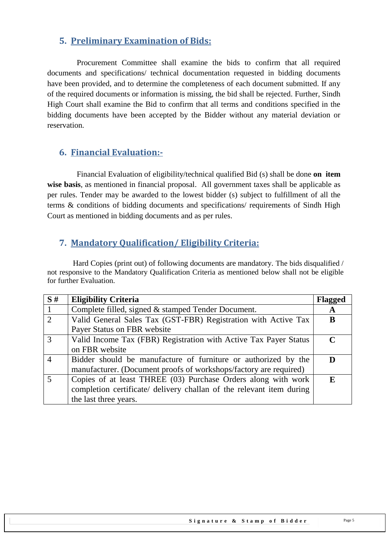#### <span id="page-4-0"></span>**5. Preliminary Examination of Bids:**

 Procurement Committee shall examine the bids to confirm that all required documents and specifications/ technical documentation requested in bidding documents have been provided, and to determine the completeness of each document submitted. If any of the required documents or information is missing, the bid shall be rejected. Further, Sindh High Court shall examine the Bid to confirm that all terms and conditions specified in the bidding documents have been accepted by the Bidder without any material deviation or reservation.

#### <span id="page-4-1"></span>**6. Financial Evaluation:-**

 Financial Evaluation of eligibility/technical qualified Bid (s) shall be done **on item wise basis**, as mentioned in financial proposal. All government taxes shall be applicable as per rules. Tender may be awarded to the lowest bidder (s) subject to fulfillment of all the terms & conditions of bidding documents and specifications/ requirements of Sindh High Court as mentioned in bidding documents and as per rules.

#### <span id="page-4-2"></span>**7. Mandatory Qualification/ Eligibility Criteria:**

 Hard Copies (print out) of following documents are mandatory. The bids disqualified / not responsive to the Mandatory Qualification Criteria as mentioned below shall not be eligible for further Evaluation.

| S#             | <b>Eligibility Criteria</b>                                          | <b>Flagged</b> |
|----------------|----------------------------------------------------------------------|----------------|
|                | Complete filled, signed & stamped Tender Document.                   | A              |
| 2              | Valid General Sales Tax (GST-FBR) Registration with Active Tax       | B              |
|                | Payer Status on FBR website                                          |                |
| $\mathcal{R}$  | Valid Income Tax (FBR) Registration with Active Tax Payer Status     | $\mathbf C$    |
|                | on FBR website                                                       |                |
|                | Bidder should be manufacture of furniture or authorized by the       |                |
|                | manufacturer. (Document proofs of workshops/factory are required)    |                |
| $\overline{5}$ | Copies of at least THREE (03) Purchase Orders along with work        | E              |
|                | completion certificate/ delivery challan of the relevant item during |                |
|                | the last three years.                                                |                |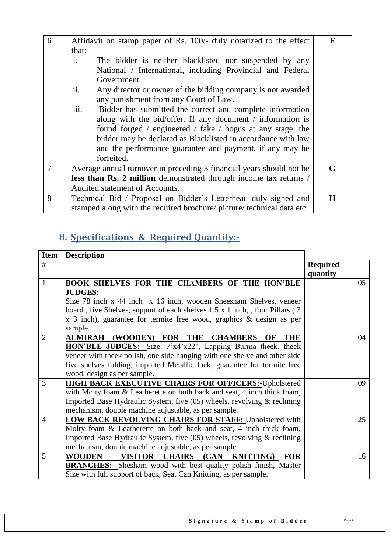| 6              | Affidavit on stamp paper of Rs. 100/- duly notarized to the effect       | F       |
|----------------|--------------------------------------------------------------------------|---------|
|                | that:                                                                    |         |
|                | $\mathbf{i}$ .<br>The bidder is neither blacklisted nor suspended by any |         |
|                | National / International, including Provincial and Federal               |         |
|                | Government                                                               |         |
|                | ii.<br>Any director or owner of the bidding company is not awarded       |         |
|                | any punishment from any Court of Law.                                    |         |
|                | iii.<br>Bidder has submitted the correct and complete information        |         |
|                | along with the bid/offer. If any document / information is               |         |
|                | found forged / engineered / fake / bogus at any stage, the               |         |
|                | bidder may be declared as Blacklisted in accordance with law             |         |
|                | and the performance guarantee and payment, if any may be                 |         |
|                | forfeited.                                                               |         |
| $\overline{7}$ | Average annual turnover in preceding 3 financial years should not be     | G       |
|                | less than Rs. 2 million demonstrated through income tax returns /        |         |
|                | Audited statement of Accounts.                                           |         |
| 8              | Technical Bid / Proposal on Bidder's Letterhead duly signed and          | $\bf H$ |
|                | stamped along with the required brochure/ picture/ technical data etc.   |         |

# <span id="page-5-0"></span>**8. Specifications & Required Quantity:-**

| <b>Item</b>    | <b>Description</b>                                                            |                             |
|----------------|-------------------------------------------------------------------------------|-----------------------------|
| #              |                                                                               | <b>Required</b><br>quantity |
| $\mathbf{1}$   | <b>BOOK SHELVES FOR THE CHAMBERS OF THE HON'BLE</b>                           | 05                          |
|                | <b>JUDGES:-</b>                                                               |                             |
|                | Size 78 inch x 44 inch x 16 inch, wooden Sheesham Shelves, veneer             |                             |
|                | board, five Shelves, support of each shelves 1.5 x 1 inch, , four Pillars (3) |                             |
|                | x 3 inch), guarantee for termite free wood, graphics $\&$ design as per       |                             |
|                | sample.                                                                       |                             |
| $\overline{2}$ | <b>ALMIRAH (WOODEN) FOR THE</b><br><b>CHAMBERS</b><br>OF<br>THE               | 04                          |
|                | <b>HON'BLE JUDGES:-</b> Size: 7'x4'x22", Lapping Burma theek, theek           |                             |
|                | veneer with theek polish, one side hanging with one shelve and other side     |                             |
|                | five shelves folding, imported Metallic lock, guarantee for termite free      |                             |
|                | wood, design as per sample.                                                   |                             |
| 3              | <b>HIGH BACK EXECUTIVE CHAIRS FOR OFFICERS:- Upholstered</b>                  | 09                          |
|                | with Molty foam & Leatherette on both back and seat, 4 inch thick foam,       |                             |
|                | Imported Base Hydraulic System, five $(05)$ wheels, revolving & reclining     |                             |
|                | mechanism, double machine adjustable, as per sample.                          |                             |
| $\overline{4}$ | <b>LOW BACK REVOLVING CHAIRS FOR STAFF: Upholstered with</b>                  | 25                          |
|                | Molty foam & Leatherette on both back and seat, 4 inch thick foam,            |                             |
|                | Imported Base Hydraulic System, five $(05)$ wheels, revolving & reclining     |                             |
|                | mechanism, double machine adjustable, as per sample                           |                             |
| 5              | VISITOR CHAIRS (CAN<br><b>KNITTING</b> )<br><b>WOODEN</b><br><b>FOR</b>       | 16                          |
|                | <b>BRANCHES:</b> Shesham wood with best quality polish finish, Master         |                             |
|                | Size with full support of back, Seat Can Knitting, as per sample.             |                             |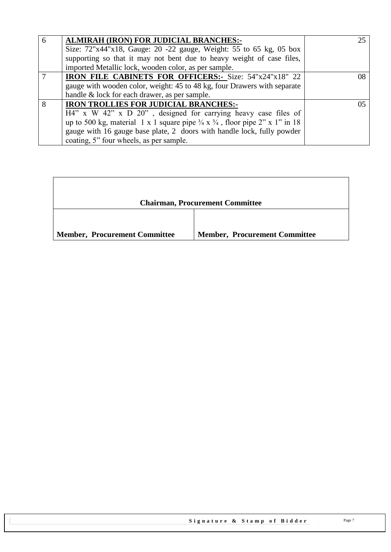| -6 | <b>ALMIRAH (IRON) FOR JUDICIAL BRANCHES:-</b>                                                     |  |
|----|---------------------------------------------------------------------------------------------------|--|
|    | Size: 72"x44"x18, Gauge: 20 -22 gauge, Weight: 55 to 65 kg, 05 box                                |  |
|    | supporting so that it may not bent due to heavy weight of case files,                             |  |
|    | imported Metallic lock, wooden color, as per sample.                                              |  |
|    | <b>IRON FILE CABINETS FOR OFFICERS:</b> Size: 54"x24"x18" 22                                      |  |
|    | gauge with wooden color, weight: 45 to 48 kg, four Drawers with separate                          |  |
|    | handle & lock for each drawer, as per sample.                                                     |  |
| 8  | <b>IRON TROLLIES FOR JUDICIAL BRANCHES:-</b>                                                      |  |
|    | $H4''$ x W 42" x D 20", designed for carrying heavy case files of                                 |  |
|    | up to 500 kg, material 1 x 1 square pipe $\frac{3}{4}$ x $\frac{3}{4}$ , floor pipe 2" x 1" in 18 |  |
|    | gauge with 16 gauge base plate, 2 doors with handle lock, fully powder                            |  |
|    | coating, 5" four wheels, as per sample.                                                           |  |

|                                      | <b>Chairman, Procurement Committee</b> |
|--------------------------------------|----------------------------------------|
| <b>Member, Procurement Committee</b> | <b>Member, Procurement Committee</b>   |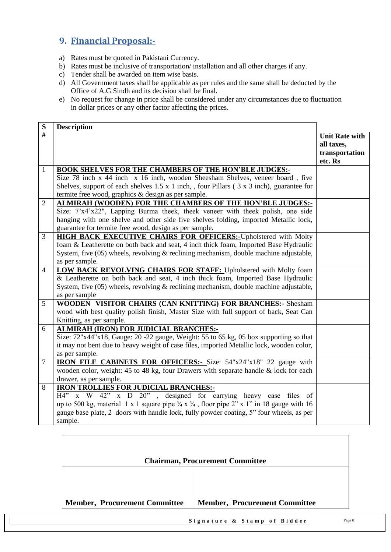### <span id="page-7-0"></span>**9. Financial Proposal:-**

- a) Rates must be quoted in Pakistani Currency.
- b) Rates must be inclusive of transportation/ installation and all other charges if any.
- c) Tender shall be awarded on item wise basis.
- d) All Government taxes shall be applicable as per rules and the same shall be deducted by the Office of A.G Sindh and its decision shall be final.
- e) No request for change in price shall be considered under any circumstances due to fluctuation in dollar prices or any other factor affecting the prices.

| S              | <b>Description</b>                                                                                              |                       |
|----------------|-----------------------------------------------------------------------------------------------------------------|-----------------------|
| #              |                                                                                                                 | <b>Unit Rate with</b> |
|                |                                                                                                                 | all taxes,            |
|                |                                                                                                                 | transportation        |
|                |                                                                                                                 | etc. Rs               |
| $\mathbf{1}$   | <b>BOOK SHELVES FOR THE CHAMBERS OF THE HON'BLE JUDGES:-</b>                                                    |                       |
|                | Size 78 inch x 44 inch x 16 inch, wooden Sheesham Shelves, veneer board, five                                   |                       |
|                | Shelves, support of each shelves $1.5 \times 1$ inch, , four Pillars ( $3 \times 3$ inch), guarantee for        |                       |
|                | termite free wood, graphics & design as per sample.                                                             |                       |
| $\overline{2}$ | ALMIRAH (WOODEN) FOR THE CHAMBERS OF THE HON'BLE JUDGES:-                                                       |                       |
|                | Size: 7'x4'x22", Lapping Burma theek, theek veneer with theek polish, one side                                  |                       |
|                | hanging with one shelve and other side five shelves folding, imported Metallic lock,                            |                       |
|                | guarantee for termite free wood, design as per sample.                                                          |                       |
| 3              | <b>HIGH BACK EXECUTIVE CHAIRS FOR OFFICERS:-</b> Upholstered with Molty                                         |                       |
|                | foam & Leatherette on both back and seat, 4 inch thick foam, Imported Base Hydraulic                            |                       |
|                | System, five $(05)$ wheels, revolving $\&$ reclining mechanism, double machine adjustable,                      |                       |
|                | as per sample.                                                                                                  |                       |
| $\overline{4}$ | LOW BACK REVOLVING CHAIRS FOR STAFF: Upholstered with Molty foam                                                |                       |
|                | & Leatherette on both back and seat, 4 inch thick foam, Imported Base Hydraulic                                 |                       |
|                | System, five $(05)$ wheels, revolving $\&$ reclining mechanism, double machine adjustable,                      |                       |
|                | as per sample                                                                                                   |                       |
| 5              | WOODEN VISITOR CHAIRS (CAN KNITTING) FOR BRANCHES: - Shesham                                                    |                       |
|                | wood with best quality polish finish, Master Size with full support of back, Seat Can                           |                       |
|                | Knitting, as per sample.                                                                                        |                       |
| 6              | ALMIRAH (IRON) FOR JUDICIAL BRANCHES:-                                                                          |                       |
|                | Size: 72"x44"x18, Gauge: 20 -22 gauge, Weight: 55 to 65 kg, 05 box supporting so that                           |                       |
|                | it may not bent due to heavy weight of case files, imported Metallic lock, wooden color,                        |                       |
|                | as per sample.                                                                                                  |                       |
| $\overline{7}$ | <b>IRON FILE CABINETS FOR OFFICERS:</b> - Size: 54"x24"x18" 22 gauge with                                       |                       |
|                | wooden color, weight: 45 to 48 kg, four Drawers with separate handle & lock for each                            |                       |
|                | drawer, as per sample.                                                                                          |                       |
| 8              | <b>IRON TROLLIES FOR JUDICIAL BRANCHES:-</b>                                                                    |                       |
|                | $\overline{H4''}$ x W $\overline{42''}$ x D $\overline{20''}$ , designed for carrying heavy case files of       |                       |
|                | up to 500 kg, material 1 x 1 square pipe $\frac{3}{4}$ x $\frac{3}{4}$ , floor pipe 2" x 1" in 18 gauge with 16 |                       |
|                | gauge base plate, 2 doors with handle lock, fully powder coating, 5" four wheels, as per                        |                       |
|                | sample.                                                                                                         |                       |

|                                      | <b>Chairman, Procurement Committee</b> |
|--------------------------------------|----------------------------------------|
|                                      |                                        |
| <b>Member, Procurement Committee</b> | <b>Member, Procurement Committee</b>   |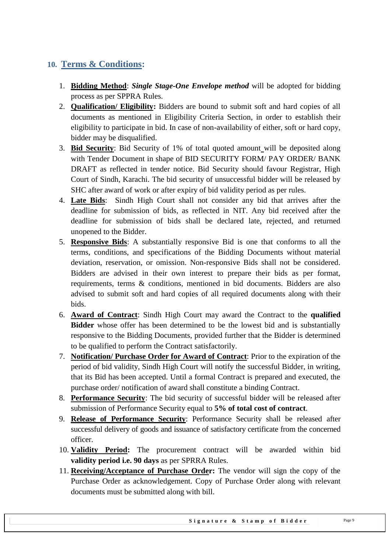#### <span id="page-8-0"></span>**10. Terms & Conditions:**

- 1. **Bidding Method**: *Single Stage-One Envelope method* will be adopted for bidding process as per SPPRA Rules.
- 2. **Qualification/ Eligibility:** Bidders are bound to submit soft and hard copies of all documents as mentioned in Eligibility Criteria Section, in order to establish their eligibility to participate in bid. In case of non-availability of either, soft or hard copy, bidder may be disqualified.
- 3. **Bid Security**: Bid Security of 1% of total quoted amount will be deposited along with Tender Document in shape of BID SECURITY FORM/ PAY ORDER/ BANK DRAFT as reflected in tender notice. Bid Security should favour Registrar, High Court of Sindh, Karachi. The bid security of unsuccessful bidder will be released by SHC after award of work or after expiry of bid validity period as per rules.
- 4. **Late Bids**: Sindh High Court shall not consider any bid that arrives after the deadline for submission of bids, as reflected in NIT. Any bid received after the deadline for submission of bids shall be declared late, rejected, and returned unopened to the Bidder.
- 5. **Responsive Bids**: A substantially responsive Bid is one that conforms to all the terms, conditions, and specifications of the Bidding Documents without material deviation, reservation, or omission. Non-responsive Bids shall not be considered. Bidders are advised in their own interest to prepare their bids as per format, requirements, terms & conditions, mentioned in bid documents. Bidders are also advised to submit soft and hard copies of all required documents along with their bids.
- 6. **Award of Contract**: Sindh High Court may award the Contract to the **qualified Bidder** whose offer has been determined to be the lowest bid and is substantially responsive to the Bidding Documents, provided further that the Bidder is determined to be qualified to perform the Contract satisfactorily.
- 7. **Notification/ Purchase Order for Award of Contract**: Prior to the expiration of the period of bid validity, Sindh High Court will notify the successful Bidder, in writing, that its Bid has been accepted. Until a formal Contract is prepared and executed, the purchase order/ notification of award shall constitute a binding Contract.
- 8. **Performance Security**: The bid security of successful bidder will be released after submission of Performance Security equal to **5% of total cost of contract**.
- 9. **Release of Performance Security**: Performance Security shall be released after successful delivery of goods and issuance of satisfactory certificate from the concerned officer.
- 10. **Validity Period:** The procurement contract will be awarded within bid **validity period i.e. 90 days** as per SPRRA Rules.
- 11. **Receiving/Acceptance of Purchase Order:** The vendor will sign the copy of the Purchase Order as acknowledgement. Copy of Purchase Order along with relevant documents must be submitted along with bill.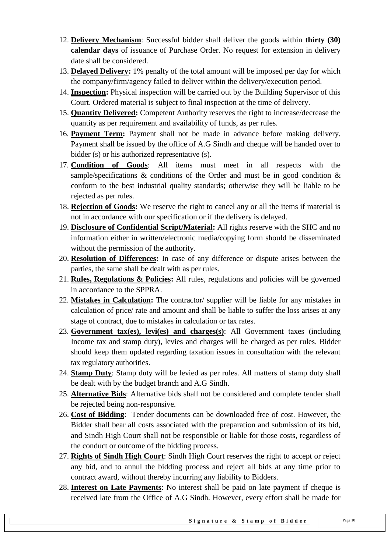- 12. **Delivery Mechanism**: Successful bidder shall deliver the goods within **thirty (30) calendar days** of issuance of Purchase Order. No request for extension in delivery date shall be considered.
- 13. **Delayed Delivery:** 1% penalty of the total amount will be imposed per day for which the company/firm/agency failed to deliver within the delivery/execution period.
- 14. **Inspection:** Physical inspection will be carried out by the Building Supervisor of this Court. Ordered material is subject to final inspection at the time of delivery.
- 15. **Quantity Delivered:** Competent Authority reserves the right to increase/decrease the quantity as per requirement and availability of funds, as per rules.
- 16. **Payment Term:** Payment shall not be made in advance before making delivery. Payment shall be issued by the office of A.G Sindh and cheque will be handed over to bidder (s) or his authorized representative (s).
- 17. **Condition of Goods**: All items must meet in all respects with the sample/specifications  $\&$  conditions of the Order and must be in good condition  $\&$ conform to the best industrial quality standards; otherwise they will be liable to be rejected as per rules.
- 18. **Rejection of Goods:** We reserve the right to cancel any or all the items if material is not in accordance with our specification or if the delivery is delayed.
- 19. **Disclosure of Confidential Script/Material:** All rights reserve with the SHC and no information either in written/electronic media/copying form should be disseminated without the permission of the authority.
- 20. **Resolution of Differences:** In case of any difference or dispute arises between the parties, the same shall be dealt with as per rules.
- 21. **Rules, Regulations & Policies:** All rules, regulations and policies will be governed in accordance to the SPPRA.
- 22. **Mistakes in Calculation:** The contractor/ supplier will be liable for any mistakes in calculation of price/ rate and amount and shall be liable to suffer the loss arises at any stage of contract, due to mistakes in calculation or tax rates.
- 23. **Government tax(es), levi(es) and charges(s)**: All Government taxes (including Income tax and stamp duty), levies and charges will be charged as per rules. Bidder should keep them updated regarding taxation issues in consultation with the relevant tax regulatory authorities.
- 24. **Stamp Duty**: Stamp duty will be levied as per rules. All matters of stamp duty shall be dealt with by the budget branch and A.G Sindh.
- 25. **Alternative Bids**: Alternative bids shall not be considered and complete tender shall be rejected being non-responsive.
- 26. **Cost of Bidding**: Tender documents can be downloaded free of cost. However, the Bidder shall bear all costs associated with the preparation and submission of its bid, and Sindh High Court shall not be responsible or liable for those costs, regardless of the conduct or outcome of the bidding process.
- 27. **Rights of Sindh High Court**: Sindh High Court reserves the right to accept or reject any bid, and to annul the bidding process and reject all bids at any time prior to contract award, without thereby incurring any liability to Bidders.
- 28. **Interest on Late Payments**: No interest shall be paid on late payment if cheque is received late from the Office of A.G Sindh. However, every effort shall be made for